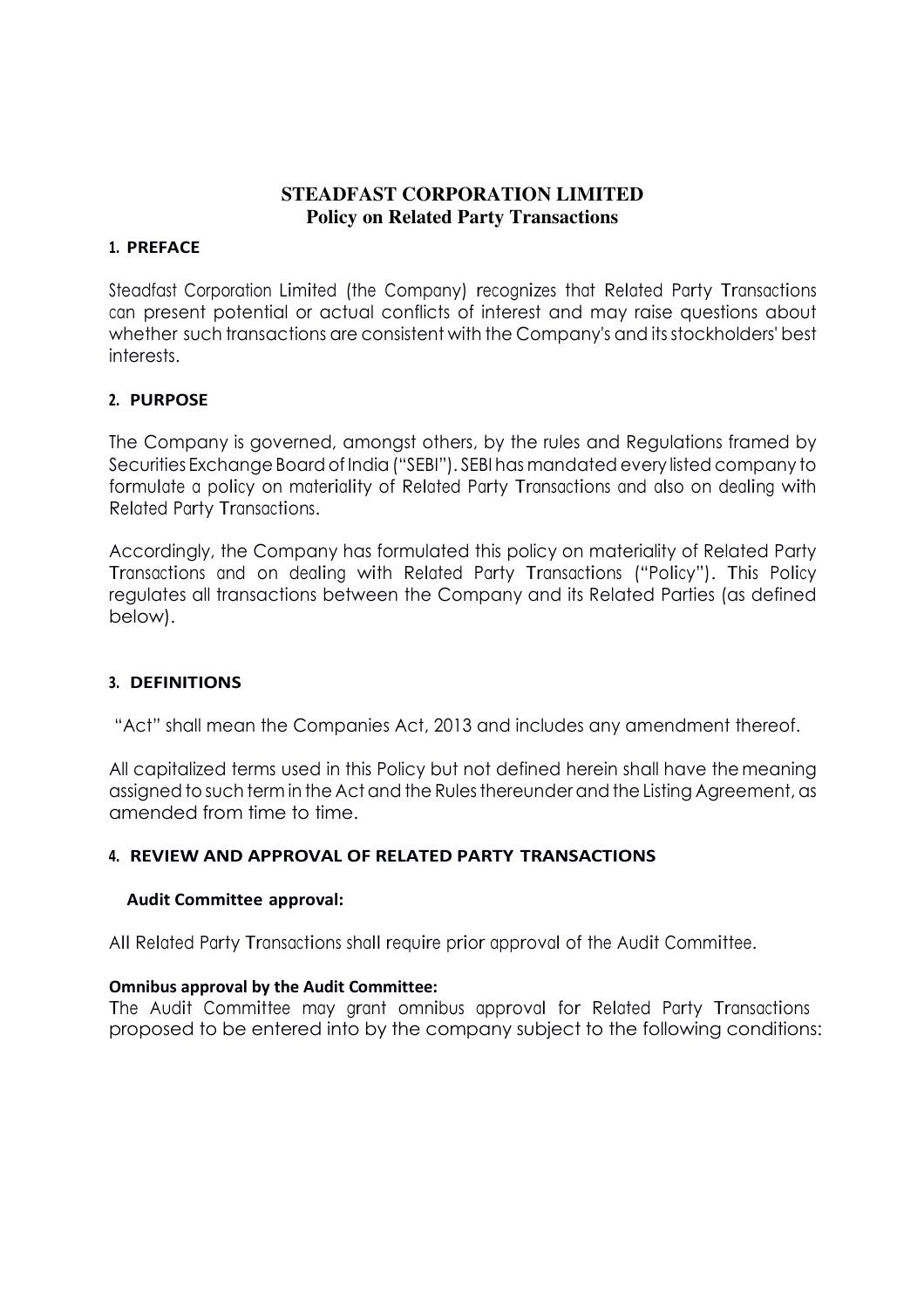# **STEADFAST CORPORATION LIMITED Policy on Related Party Transactions**

### **1. PREFACE**

Steadfast Corporation Limited (the Company) recognizes that Related Party Transactions can present potential or actual conflicts of interest and may raise questions about whether such transactions are consistent with the Company's and its stockholders' best interests.

## **2. PURPOSE**

The Company is governed, amongst others, by the rules and Regulations framed by Securities Exchange Board of India ("SEBI"). SEBI has mandated every listed company to formulate <sup>a</sup> policy on materiality of Related Party Transactions and also on dealing with Related Party Transactions.

Accordingly, the Company has formulated this policy on materiality of Related Party Transactions and on dealing with Related Party Transactions ("Policy"). This Policy regulates all transactions between the Company and its Related Parties (as defined below).

## **3. DEFINITIONS**

"Act" shall mean the Companies Act, 2013 and includes any amendment thereof.

All capitalized terms used in this Policy but not defined herein shall have the meaning assigned to such term in the Act and the Rules thereunder and the Listing Agreement, as amended from time to time.

#### **4. REVIEW AND APPROVAL OF RELATED PARTY TRANSACTIONS**

#### **Audit Committee approval:**

All Related Party Transactions shall require prior approval of the Audit Committee.

#### **Omnibus approval by the Audit Committee:**

The Audit Committee may grant omnibus approval for Related Party Transactions proposed to be entered into by the company subject to the following conditions: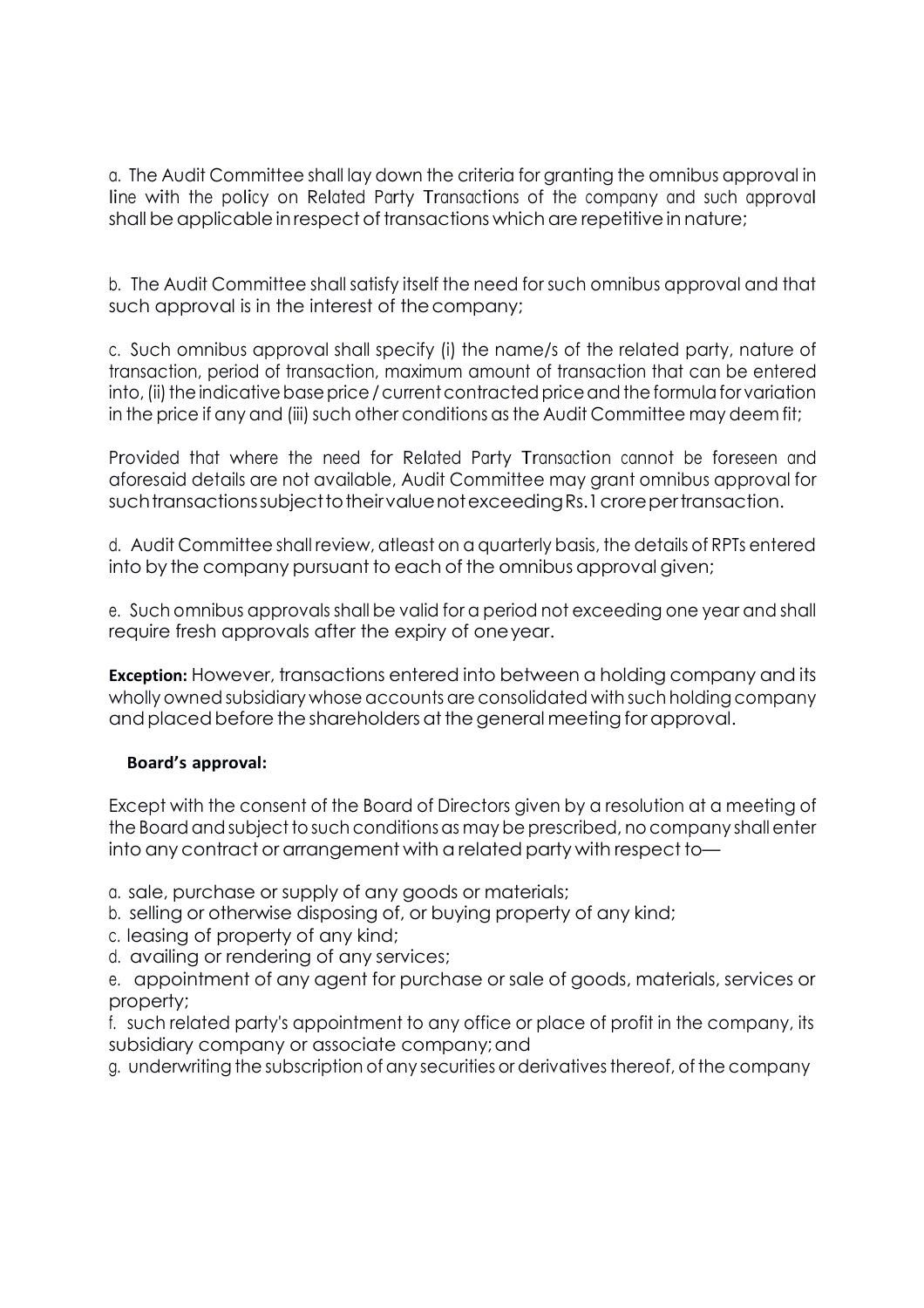a. The Audit Committee shall lay down the criteria for granting the omnibus approval in line with the policy on Related Party Transactions of the company and such approval shall be applicable in respect of transactions which are repetitive in nature;

b. The Audit Committee shall satisfy itself the need for such omnibus approval and that such approval is in the interest of the company;

c. Such omnibus approval shall specify (i) the name/s of the related party, nature of transaction, period of transaction, maximum amount of transaction that can be entered into, (ii) the indicative base price / current contracted price and the formula for variation in the price if any and (iii) such other conditions as the Audit Committee may deem fit;

Provided that where the need for Related Party Transaction cannot be foreseen and aforesaid details are not available, Audit Committee may grant omnibus approval for such transactions subject to their value not exceeding Rs.1 crore per transaction.

d. Audit Committee shall review, atleast on a quarterly basis, the details of RPTs entered into by the company pursuant to each of the omnibus approval given;

e. Such omnibus approvals shall be valid for a period not exceeding one year and shall require fresh approvals after the expiry of one year.

**Exception:** However, transactions entered into between a holding company and its wholly owned subsidiary whose accounts are consolidated with such holding company and placed before the shareholders at the general meeting for approval.

## **Board's approval:**

Except with the consent of the Board of Directors given by a resolution at a meeting of the Board and subject to such conditions as may be prescribed, no company shall enter into any contract or arrangement with a related party with respect to—

a. sale, purchase or supply of any goods or materials;

- b. selling or otherwise disposing of, or buying property of any kind;
- c. leasing of property of any kind;
- d. availing or rendering of any services;
- e. appointment of any agent for purchase or sale of goods, materials, services or property;
- f. such related party's appointment to any office or place of profit in the company, its subsidiary company or associate company; and
- g. underwriting the subscription of any securities or derivatives thereof, of the company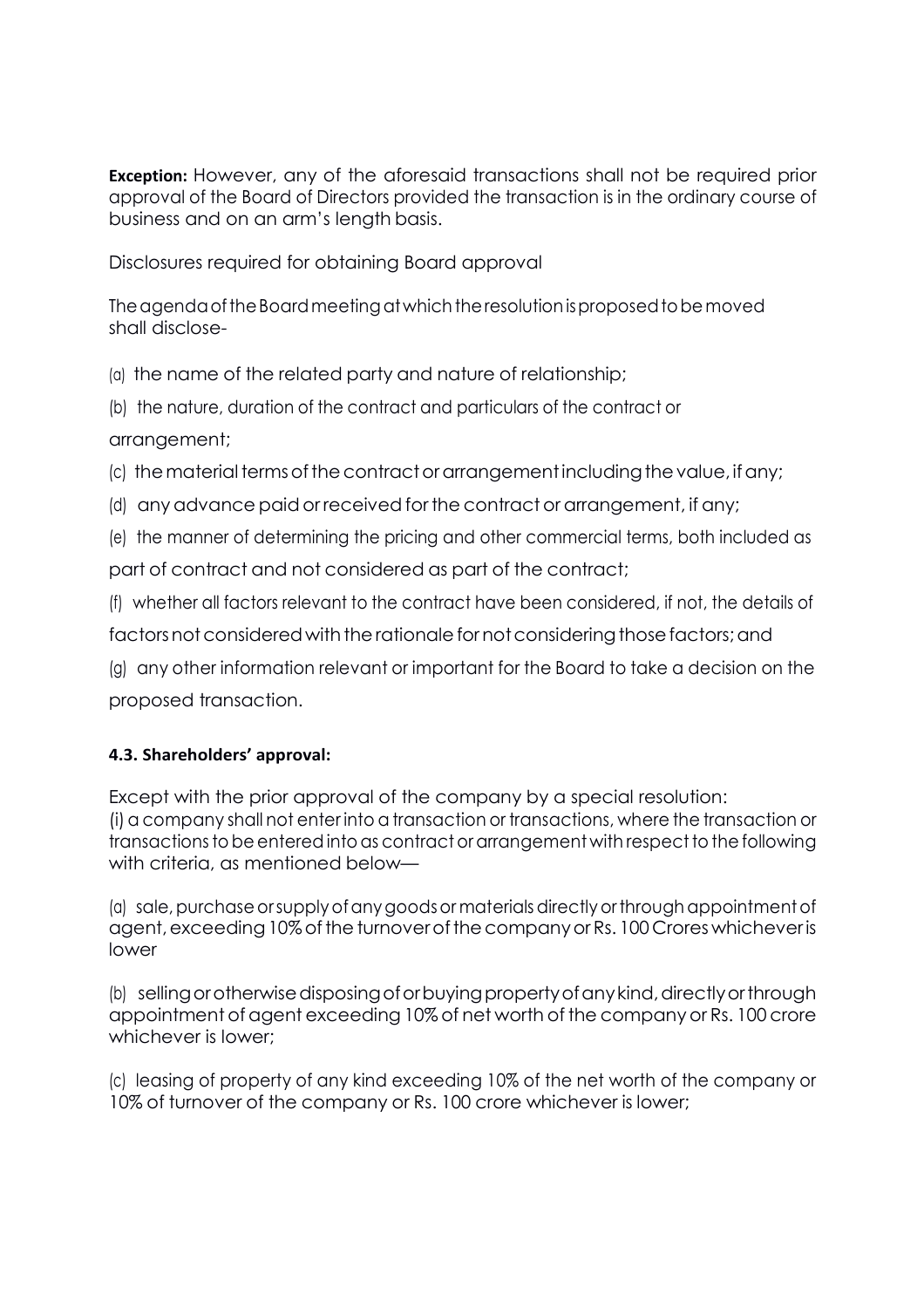**Exception:** However, any of the aforesaid transactions shall not be required prior approval of the Board of Directors provided the transaction is in the ordinary course of business and on an arm's length basis.

Disclosures required for obtaining Board approval

The agenda of the Board meeting at which the resolution is proposed to be moved shall disclose-

(a) the name of the related party and nature of relationship;

(b) the nature, duration of the contract and particulars of the contract or arrangement;

(c) the material terms of the contract or arrangement including the value, if any;

(d) any advance paid or received for the contract or arrangement, if any;

(e) the manner of determining the pricing and other commercial terms, both included as part of contract and not considered as part of the contract;

(f) whether all factors relevant to the contract have been considered, if not, the details of

factors not considered with the rationale for not considering those factors; and

(g) any other information relevant or important for the Board to take a decision on the proposed transaction.

# **4.3. Shareholders' approval:**

Except with the prior approval of the company by a special resolution: (i) a company shall not enter into a transaction or transactions, where the transaction or transactions to be entered into as contract or arrangement with respect to the following with criteria, as mentioned below—

(a) sale, purchase or supply of any goods or materials directly or through appointment of agent, exceeding 10% of the turnover of the company or Rs. 100 Crores whichever is lower

(b) selling or otherwise disposing of or buying property of any kind, directly or through appointment of agent exceeding 10% of net worth of the company or Rs. 100 crore whichever is lower;

(c) leasing of property of any kind exceeding 10% of the net worth of the company or 10% of turnover of the company or Rs. 100 crore whichever is lower;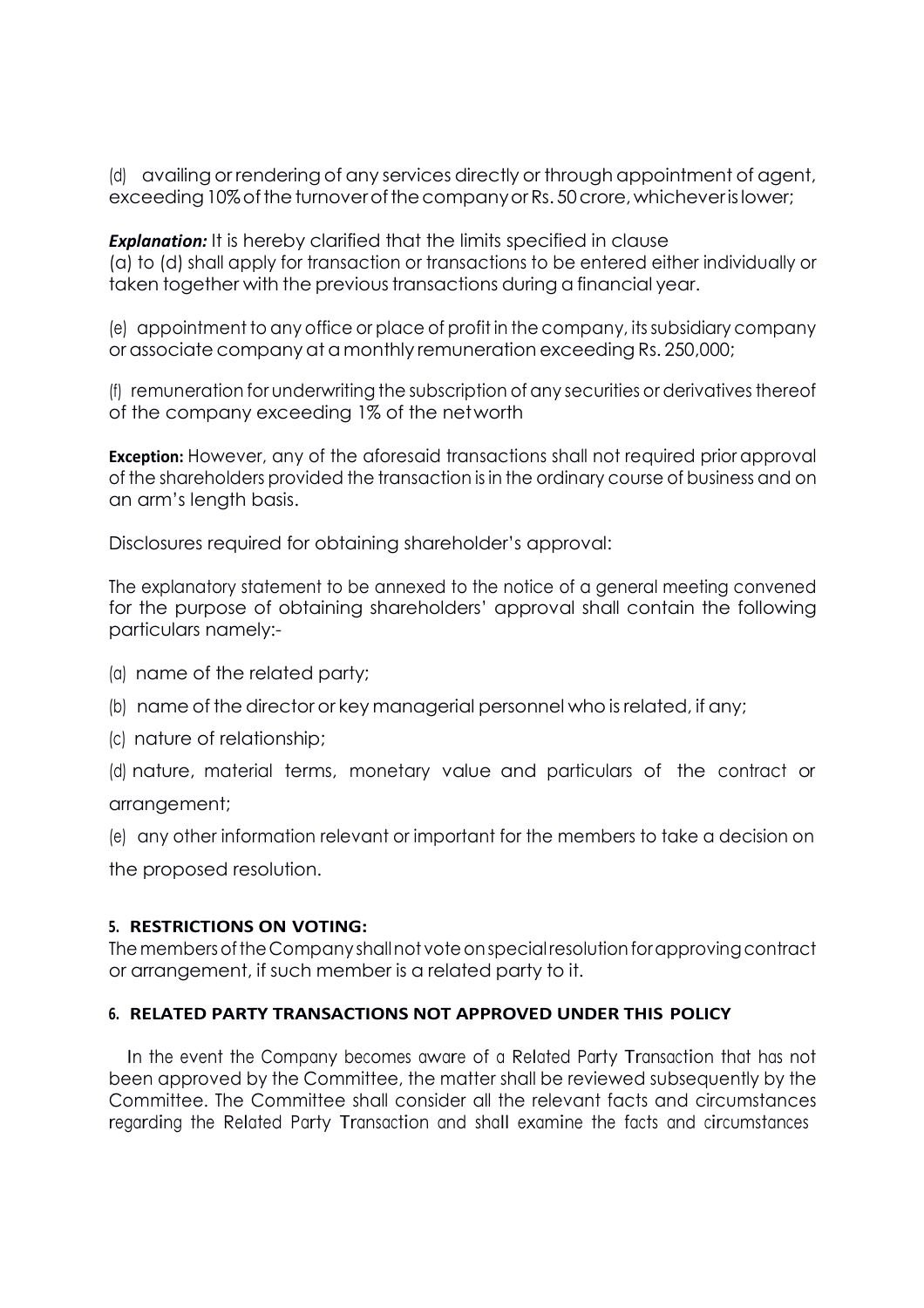(d) availing or rendering of any services directly or through appointment of agent, exceeding 10% of the turnover of the company or Rs. 50 crore, whichever is lower;

**Explanation:** It is hereby clarified that the limits specified in clause (a) to (d) shall apply for transaction or transactions to be entered either individually or taken together with the previous transactions during a financial year.

(e) appointment to any office or place of profit in the company, its subsidiary company or associate company at a monthly remuneration exceeding Rs. 250,000;

(f) remuneration for underwriting the subscription of any securities or derivatives thereof of the company exceeding 1% of the net worth

**Exception:** However, any of the aforesaid transactions shall not required prior approval of the shareholders provided the transaction is in the ordinary course of business and on an arm's length basis.

Disclosures required for obtaining shareholder's approval:

The explanatory statement to be annexed to the notice of a general meeting convened for the purpose of obtaining shareholders' approval shall contain the following particulars namely:-

- (a) name of the related party;
- (b) name of the director or key managerial personnel who is related, if any;
- (c) nature of relationship;

(d) nature, material terms, monetary value and particulars of the contract or arrangement;

(e) any other information relevant or important for the members to take a decision on

the proposed resolution.

## **5. RESTRICTIONS ON VOTING:**

The members of the Company shall not vote on special resolution for approving contract or arrangement, if such member is a related party to it.

## **6. RELATED PARTY TRANSACTIONS NOT APPROVED UNDER THIS POLICY**

In the event the Company becomes aware of <sup>a</sup> Related Party Transaction that has not been approved by the Committee, the matter shall be reviewed subsequently by the Committee. The Committee shall consider all the relevant facts and circumstances regarding the Related Party Transaction and shall examine the facts and circumstances